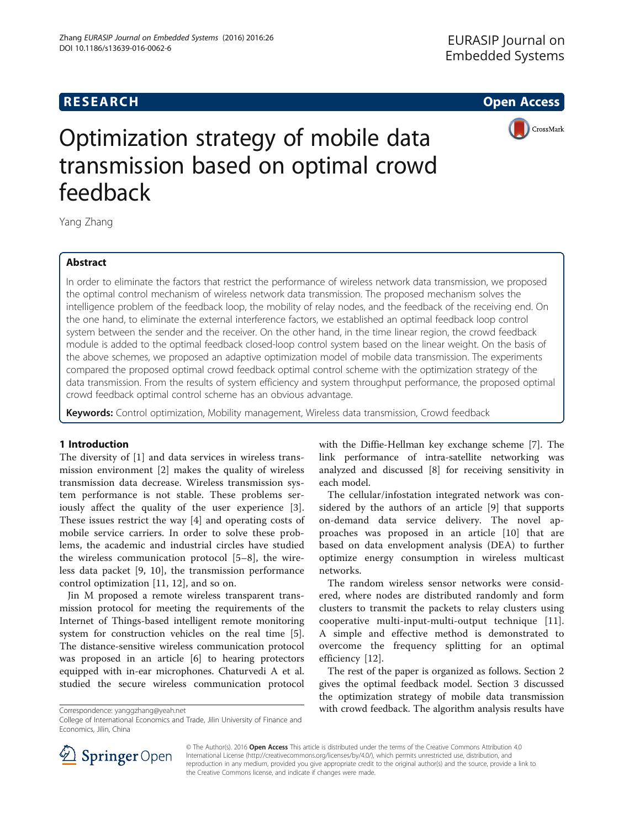# **RESEARCH CHEAR CHEAR CHEAR CHEAR CHEAR CHEAR CHEAR CHEAR CHEAR CHEAR CHEAR CHEAR CHEAR CHEAR CHEAR CHEAR CHEAR**



# Optimization strategy of mobile data transmission based on optimal crowd feedback

Yang Zhang

# Abstract

In order to eliminate the factors that restrict the performance of wireless network data transmission, we proposed the optimal control mechanism of wireless network data transmission. The proposed mechanism solves the intelligence problem of the feedback loop, the mobility of relay nodes, and the feedback of the receiving end. On the one hand, to eliminate the external interference factors, we established an optimal feedback loop control system between the sender and the receiver. On the other hand, in the time linear region, the crowd feedback module is added to the optimal feedback closed-loop control system based on the linear weight. On the basis of the above schemes, we proposed an adaptive optimization model of mobile data transmission. The experiments compared the proposed optimal crowd feedback optimal control scheme with the optimization strategy of the data transmission. From the results of system efficiency and system throughput performance, the proposed optimal crowd feedback optimal control scheme has an obvious advantage.

Keywords: Control optimization, Mobility management, Wireless data transmission, Crowd feedback

#### 1 Introduction

The diversity of [\[1](#page-4-0)] and data services in wireless transmission environment [\[2](#page-4-0)] makes the quality of wireless transmission data decrease. Wireless transmission system performance is not stable. These problems seriously affect the quality of the user experience [\[3](#page-4-0)]. These issues restrict the way [[4\]](#page-4-0) and operating costs of mobile service carriers. In order to solve these problems, the academic and industrial circles have studied the wireless communication protocol [[5](#page-4-0)–[8](#page-4-0)], the wireless data packet [[9](#page-4-0), [10\]](#page-4-0), the transmission performance control optimization [[11, 12](#page-4-0)], and so on.

Jin M proposed a remote wireless transparent transmission protocol for meeting the requirements of the Internet of Things-based intelligent remote monitoring system for construction vehicles on the real time [\[5](#page-4-0)]. The distance-sensitive wireless communication protocol was proposed in an article [[6](#page-4-0)] to hearing protectors equipped with in-ear microphones. Chaturvedi A et al. studied the secure wireless communication protocol

College of International Economics and Trade, Jilin University of Finance and Economics, Jilin, China

with the Diffie-Hellman key exchange scheme [[7\]](#page-4-0). The link performance of intra-satellite networking was analyzed and discussed [\[8](#page-4-0)] for receiving sensitivity in each model.

The cellular/infostation integrated network was considered by the authors of an article [[9](#page-4-0)] that supports on-demand data service delivery. The novel approaches was proposed in an article [[10\]](#page-4-0) that are based on data envelopment analysis (DEA) to further optimize energy consumption in wireless multicast networks.

The random wireless sensor networks were considered, where nodes are distributed randomly and form clusters to transmit the packets to relay clusters using cooperative multi-input-multi-output technique [\[11](#page-4-0)]. A simple and effective method is demonstrated to overcome the frequency splitting for an optimal efficiency [[12](#page-4-0)].

The rest of the paper is organized as follows. [Section 2](#page-1-0) gives the optimal feedback model. [Section 3](#page-2-0) discussed the optimization strategy of mobile data transmission Correspondence: [yanggzhang@yeah.net](mailto:yanggzhang@yeah.net) with crowd feedback. The algorithm analysis results have



© The Author(s). 2016 Open Access This article is distributed under the terms of the Creative Commons Attribution 4.0 International License ([http://creativecommons.org/licenses/by/4.0/\)](http://creativecommons.org/licenses/by/4.0/), which permits unrestricted use, distribution, and reproduction in any medium, provided you give appropriate credit to the original author(s) and the source, provide a link to the Creative Commons license, and indicate if changes were made.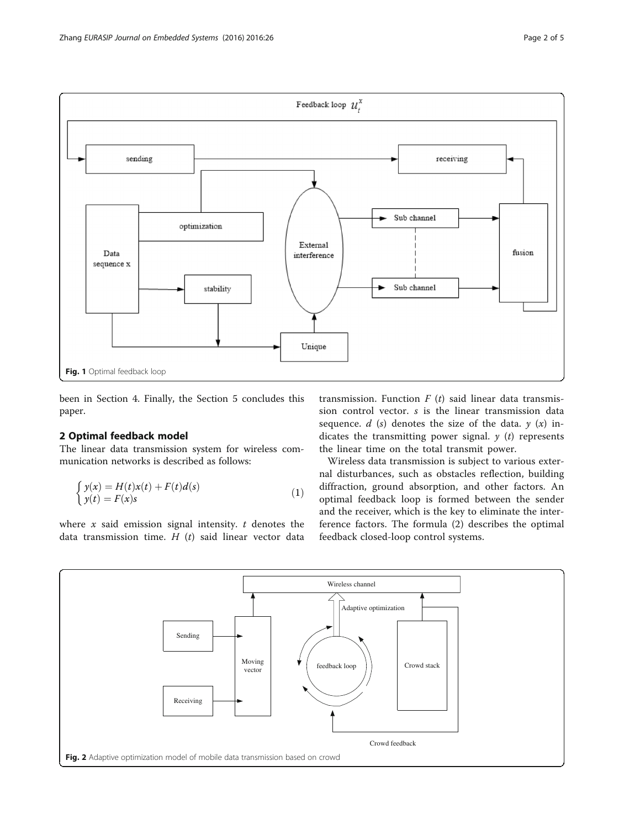<span id="page-1-0"></span>

been in [Section 4](#page-2-0). Finally, the [Section 5](#page-4-0) concludes this paper.

#### 2 Optimal feedback model

The linear data transmission system for wireless communication networks is described as follows:

$$
\begin{cases}\ny(x) = H(t)x(t) + F(t)d(s) \\
y(t) = F(x)s\n\end{cases}
$$
\n(1)

where  $x$  said emission signal intensity.  $t$  denotes the data transmission time.  $H(t)$  said linear vector data transmission. Function  $F(t)$  said linear data transmission control vector. s is the linear transmission data sequence.  $d$  (s) denotes the size of the data.  $y(x)$  indicates the transmitting power signal.  $y(t)$  represents the linear time on the total transmit power.

Wireless data transmission is subject to various external disturbances, such as obstacles reflection, building diffraction, ground absorption, and other factors. An optimal feedback loop is formed between the sender and the receiver, which is the key to eliminate the interference factors. The formula (2) describes the optimal feedback closed-loop control systems.

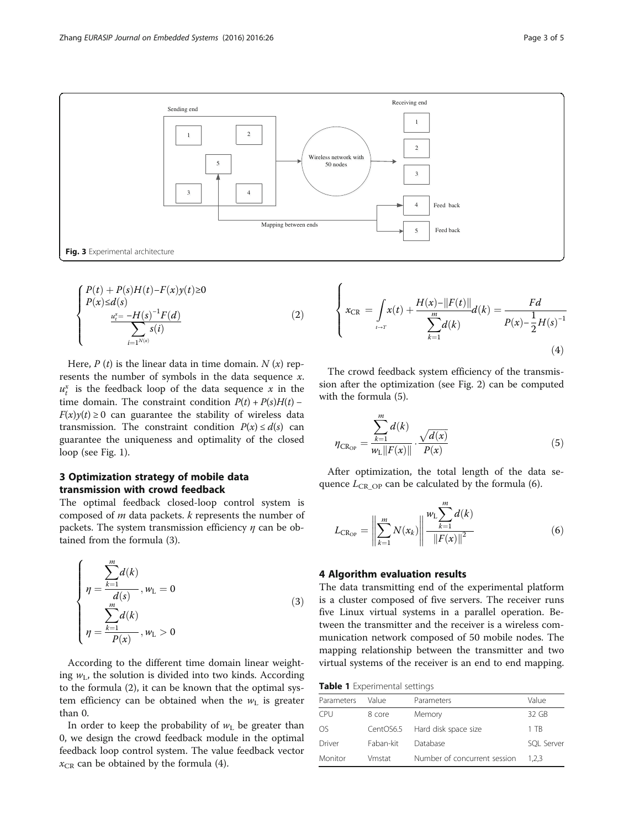<span id="page-2-0"></span>

 $\overline{6}$ 

$$
\begin{cases}\nP(t) + P(s)H(t) - F(x)y(t) \ge 0 \\
P(x) \le d(s) \\
\frac{u_i^* = -H(s)^{-1}F(d)}{\sum_{i=1^{N(x)}} s(i)}\n\end{cases}
$$
\n(2)

Here,  $P(t)$  is the linear data in time domain.  $N(x)$  represents the number of symbols in the data sequence  $x$ .  $u_t^x$  is the feedback loop of the data sequence x in the time domain. The constraint condition  $P(t) + P(s)H(t)$  –  $F(x)y(t) \ge 0$  can guarantee the stability of wireless data transmission. The constraint condition  $P(x) \le d(s)$  can guarantee the uniqueness and optimality of the closed loop (see Fig. [1\)](#page-1-0).

### 3 Optimization strategy of mobile data transmission with crowd feedback

The optimal feedback closed-loop control system is composed of  $m$  data packets.  $k$  represents the number of packets. The system transmission efficiency  $\eta$  can be obtained from the formula (3).

$$
\begin{cases}\n\eta = \frac{\sum_{k=1}^{m} d(k)}{d(s)}, w_{L} = 0 \\
\eta = \frac{\sum_{k=1}^{m} d(k)}{P(x)}, w_{L} > 0\n\end{cases}
$$
\n(3)

According to the different time domain linear weighting  $w_L$ , the solution is divided into two kinds. According to the formula (2), it can be known that the optimal system efficiency can be obtained when the  $w<sub>L</sub>$  is greater than 0.

In order to keep the probability of  $w<sub>L</sub>$  be greater than 0, we design the crowd feedback module in the optimal feedback loop control system. The value feedback vector  $x_{CR}$  can be obtained by the formula (4).

$$
\left\{ x_{CR} = \int_{t \to T} x(t) + \frac{H(x) - ||F(t)||}{\sum_{k=1}^{m} d(k)} d(k) = \frac{Fd}{P(x) - \frac{1}{2}H(s)^{-1}} \tag{4}
$$

The crowd feedback system efficiency of the transmission after the optimization (see Fig. [2](#page-1-0)) can be computed with the formula (5).

$$
\eta_{\text{CR}_{\text{OP}}} = \frac{\sum_{k=1}^{m} d(k)}{w_{\text{L}} || F(x) ||} \cdot \frac{\sqrt{d(x)}}{P(x)}
$$
(5)

After optimization, the total length of the data sequence  $L_{CROP}$  can be calculated by the formula (6).

$$
L_{\text{CR}_{\text{OP}}} = \left\| \sum_{k=1}^{m} N(x_k) \right\| \frac{w_{\text{L}} \sum_{k=1}^{m} d(k)}{\left\| F(x) \right\|^2} \tag{6}
$$

#### 4 Algorithm evaluation results

The data transmitting end of the experimental platform is a cluster composed of five servers. The receiver runs five Linux virtual systems in a parallel operation. Between the transmitter and the receiver is a wireless communication network composed of 50 mobile nodes. The mapping relationship between the transmitter and two virtual systems of the receiver is an end to end mapping.

|  |  | Table 1 Experimental settings |  |
|--|--|-------------------------------|--|
|--|--|-------------------------------|--|

| Parameters | Value     | Parameters                   | Value      |
|------------|-----------|------------------------------|------------|
| CPU        | 8 core    | Memory                       | 32 GB      |
| OS.        | CentOS6.5 | Hard disk space size         | 1 TR       |
| Driver     | Faban-kit | Database                     | SOL Server |
| Monitor    | Vmstat    | Number of concurrent session | 1.2.3      |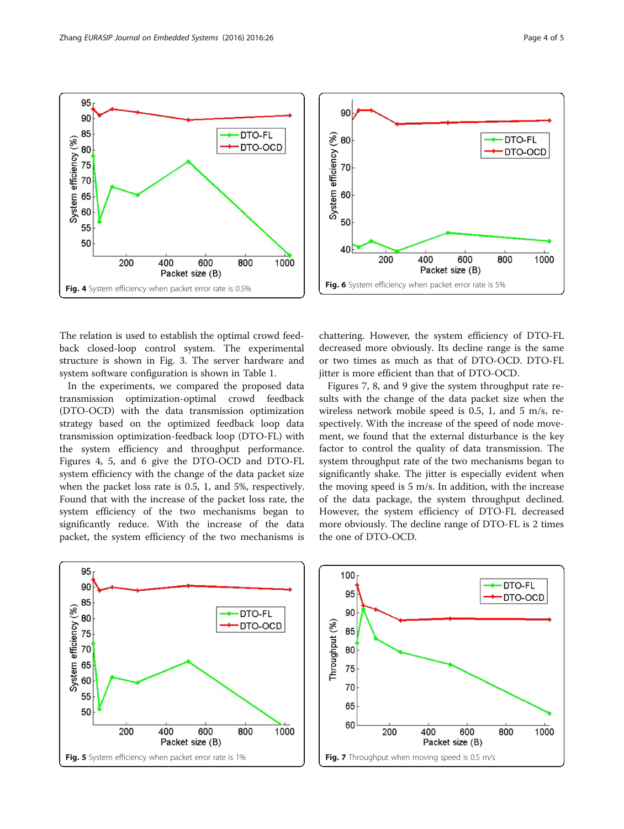The relation is used to establish the optimal crowd feedback closed-loop control system. The experimental structure is shown in Fig. [3](#page-2-0). The server hardware and system software configuration is shown in Table [1.](#page-2-0)

In the experiments, we compared the proposed data transmission optimization-optimal crowd feedback (DTO-OCD) with the data transmission optimization strategy based on the optimized feedback loop data transmission optimization-feedback loop (DTO-FL) with the system efficiency and throughput performance. Figures 4, 5, and 6 give the DTO-OCD and DTO-FL system efficiency with the change of the data packet size when the packet loss rate is 0.5, 1, and 5%, respectively. Found that with the increase of the packet loss rate, the system efficiency of the two mechanisms began to significantly reduce. With the increase of the data packet, the system efficiency of the two mechanisms is

chattering. However, the system efficiency of DTO-FL decreased more obviously. Its decline range is the same or two times as much as that of DTO-OCD. DTO-FL jitter is more efficient than that of DTO-OCD.

Figures 7, [8,](#page-4-0) and [9](#page-4-0) give the system throughput rate results with the change of the data packet size when the wireless network mobile speed is 0.5, 1, and 5 m/s, respectively. With the increase of the speed of node movement, we found that the external disturbance is the key factor to control the quality of data transmission. The system throughput rate of the two mechanisms began to significantly shake. The jitter is especially evident when the moving speed is 5 m/s. In addition, with the increase of the data package, the system throughput declined. However, the system efficiency of DTO-FL decreased more obviously. The decline range of DTO-FL is 2 times the one of DTO-OCD.



Packet size (B)

Fig. 5 System efficiency when packet error rate is 1%